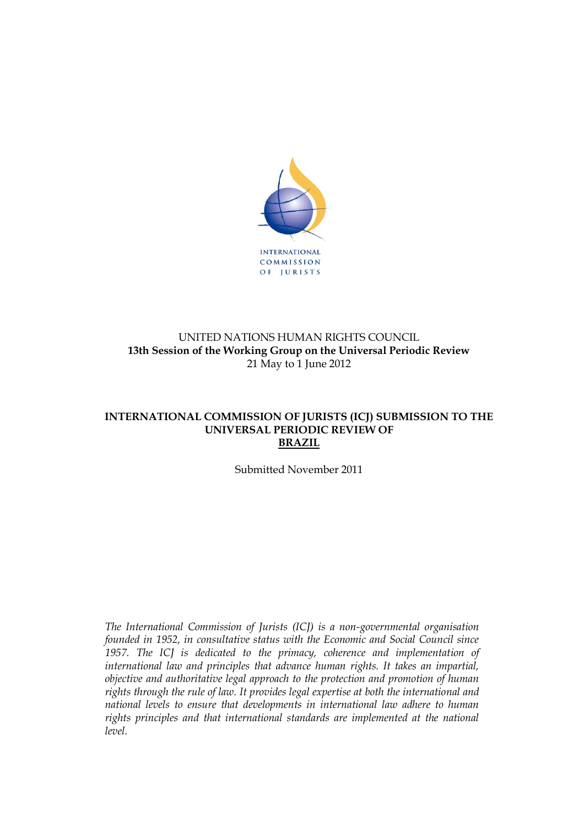

# UNITED NATIONS HUMAN RIGHTS COUNCIL **13th Session of the Working Group on the Universal Periodic Review** 21 May to 1 June 2012

### **INTERNATIONAL COMMISSION OF JURISTS (ICJ) SUBMISSION TO THE UNIVERSAL PERIODIC REVIEW OF BRAZIL**

Submitted November 2011

*The International Commission of Jurists (ICJ) is a non-governmental organisation founded in 1952, in consultative status with the Economic and Social Council since 1957. The ICJ is dedicated to the primacy, coherence and implementation of international law and principles that advance human rights. It takes an impartial, objective and authoritative legal approach to the protection and promotion of human rights through the rule of law. It provides legal expertise at both the international and national levels to ensure that developments in international law adhere to human rights principles and that international standards are implemented at the national level.*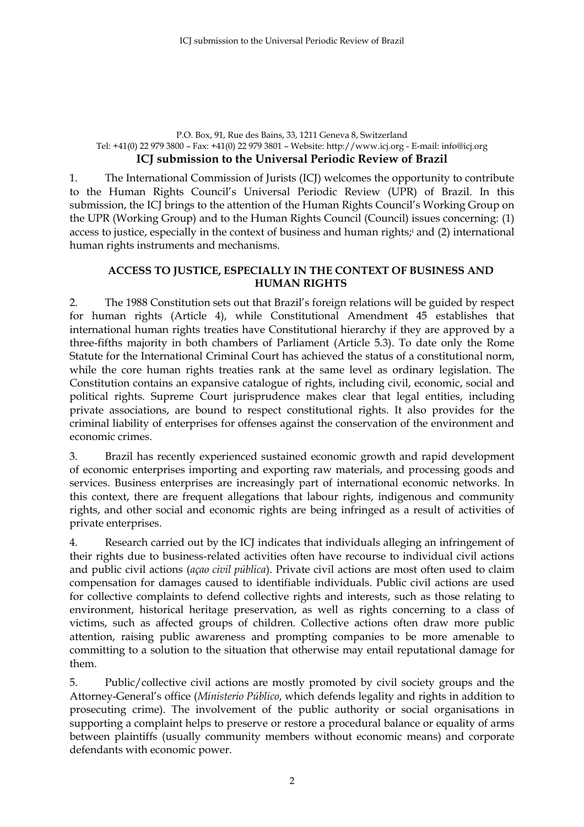#### P.O. Box, 91, Rue des Bains, 33, 1211 Geneva 8, Switzerland Tel: +41(0) 22 979 3800 – Fax: +41(0) 22 979 3801 – Website: http://www.icj.org - E-mail: info@icj.org **ICJ submission to the Universal Periodic Review of Brazil**

1. The International Commission of Jurists (ICJ) welcomes the opportunity to contribute to the Human Rights Council's Universal Periodic Review (UPR) of Brazil. In this submission, the ICJ brings to the attention of the Human Rights Council's Working Group on the UPR (Working Group) and to the Human Rights Council (Council) issues concerning: (1) access to justice, especially in the context of business and human rights; <sup>i</sup> and (2) international human rights instruments and mechanisms.

## **ACCESS TO JUSTICE, ESPECIALLY IN THE CONTEXT OF BUSINESS AND HUMAN RIGHTS**

2. The 1988 Constitution sets out that Brazil's foreign relations will be guided by respect for human rights (Article 4), while Constitutional Amendment 45 establishes that international human rights treaties have Constitutional hierarchy if they are approved by a three-fifths majority in both chambers of Parliament (Article 5.3). To date only the Rome Statute for the International Criminal Court has achieved the status of a constitutional norm, while the core human rights treaties rank at the same level as ordinary legislation. The Constitution contains an expansive catalogue of rights, including civil, economic, social and political rights. Supreme Court jurisprudence makes clear that legal entities, including private associations, are bound to respect constitutional rights. It also provides for the criminal liability of enterprises for offenses against the conservation of the environment and economic crimes.

3. Brazil has recently experienced sustained economic growth and rapid development of economic enterprises importing and exporting raw materials, and processing goods and services. Business enterprises are increasingly part of international economic networks. In this context, there are frequent allegations that labour rights, indigenous and community rights, and other social and economic rights are being infringed as a result of activities of private enterprises.

4. Research carried out by the ICJ indicates that individuals alleging an infringement of their rights due to business-related activities often have recourse to individual civil actions and public civil actions (*açao civil pública*). Private civil actions are most often used to claim compensation for damages caused to identifiable individuals. Public civil actions are used for collective complaints to defend collective rights and interests, such as those relating to environment, historical heritage preservation, as well as rights concerning to a class of victims, such as affected groups of children. Collective actions often draw more public attention, raising public awareness and prompting companies to be more amenable to committing to a solution to the situation that otherwise may entail reputational damage for them.

5. Public/collective civil actions are mostly promoted by civil society groups and the Attorney-General's office (*Ministerio Público*, which defends legality and rights in addition to prosecuting crime). The involvement of the public authority or social organisations in supporting a complaint helps to preserve or restore a procedural balance or equality of arms between plaintiffs (usually community members without economic means) and corporate defendants with economic power.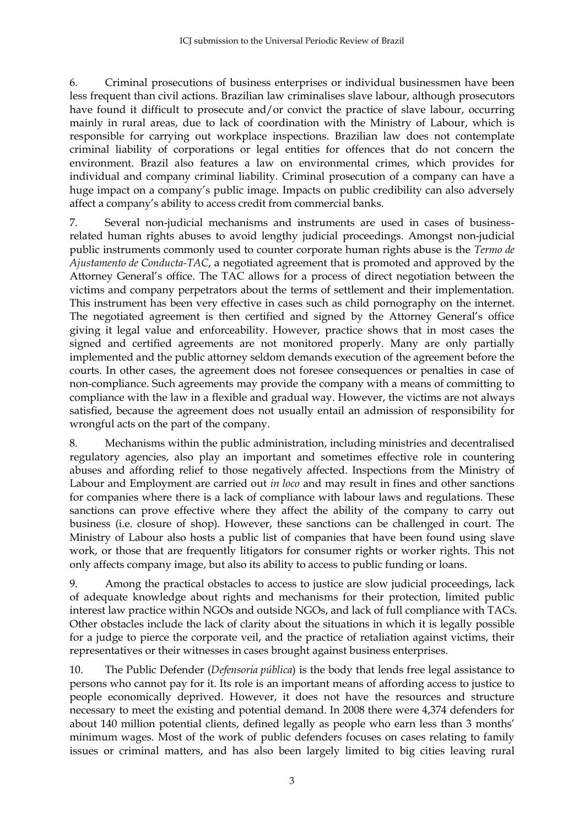6. Criminal prosecutions of business enterprises or individual businessmen have been less frequent than civil actions. Brazilian law criminalises slave labour, although prosecutors have found it difficult to prosecute and/or convict the practice of slave labour, occurring mainly in rural areas, due to lack of coordination with the Ministry of Labour, which is responsible for carrying out workplace inspections. Brazilian law does not contemplate criminal liability of corporations or legal entities for offences that do not concern the environment. Brazil also features a law on environmental crimes, which provides for individual and company criminal liability. Criminal prosecution of a company can have a huge impact on a company's public image. Impacts on public credibility can also adversely affect a company's ability to access credit from commercial banks.

7. Several non-judicial mechanisms and instruments are used in cases of businessrelated human rights abuses to avoid lengthy judicial proceedings. Amongst non-judicial public instruments commonly used to counter corporate human rights abuse is the *Termo de Ajustamento de Conducta-TAC*, a negotiated agreement that is promoted and approved by the Attorney General's office. The TAC allows for a process of direct negotiation between the victims and company perpetrators about the terms of settlement and their implementation. This instrument has been very effective in cases such as child pornography on the internet. The negotiated agreement is then certified and signed by the Attorney General's office giving it legal value and enforceability. However, practice shows that in most cases the signed and certified agreements are not monitored properly. Many are only partially implemented and the public attorney seldom demands execution of the agreement before the courts. In other cases, the agreement does not foresee consequences or penalties in case of non-compliance. Such agreements may provide the company with a means of committing to compliance with the law in a flexible and gradual way. However, the victims are not always satisfied, because the agreement does not usually entail an admission of responsibility for wrongful acts on the part of the company.

8. Mechanisms within the public administration, including ministries and decentralised regulatory agencies, also play an important and sometimes effective role in countering abuses and affording relief to those negatively affected. Inspections from the Ministry of Labour and Employment are carried out *in loco* and may result in fines and other sanctions for companies where there is a lack of compliance with labour laws and regulations. These sanctions can prove effective where they affect the ability of the company to carry out business (i.e. closure of shop). However, these sanctions can be challenged in court. The Ministry of Labour also hosts a public list of companies that have been found using slave work, or those that are frequently litigators for consumer rights or worker rights. This not only affects company image, but also its ability to access to public funding or loans.

9. Among the practical obstacles to access to justice are slow judicial proceedings, lack of adequate knowledge about rights and mechanisms for their protection, limited public interest law practice within NGOs and outside NGOs, and lack of full compliance with TACs. Other obstacles include the lack of clarity about the situations in which it is legally possible for a judge to pierce the corporate veil, and the practice of retaliation against victims, their representatives or their witnesses in cases brought against business enterprises.

10. The Public Defender (*Defensoria pública*) is the body that lends free legal assistance to persons who cannot pay for it. Its role is an important means of affording access to justice to people economically deprived. However, it does not have the resources and structure necessary to meet the existing and potential demand. In 2008 there were 4,374 defenders for about 140 million potential clients, defined legally as people who earn less than 3 months' minimum wages. Most of the work of public defenders focuses on cases relating to family issues or criminal matters, and has also been largely limited to big cities leaving rural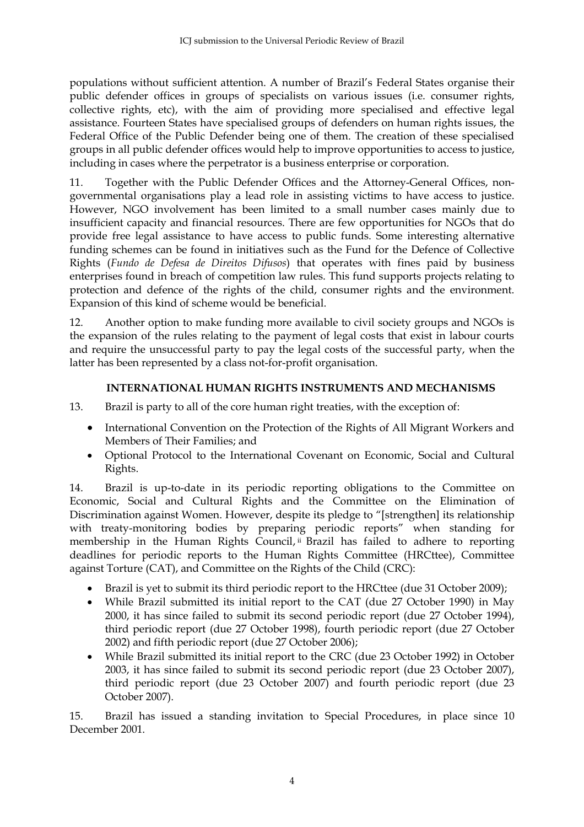populations without sufficient attention. A number of Brazil's Federal States organise their public defender offices in groups of specialists on various issues (i.e. consumer rights, collective rights, etc), with the aim of providing more specialised and effective legal assistance. Fourteen States have specialised groups of defenders on human rights issues, the Federal Office of the Public Defender being one of them. The creation of these specialised groups in all public defender offices would help to improve opportunities to access to justice, including in cases where the perpetrator is a business enterprise or corporation.

11. Together with the Public Defender Offices and the Attorney-General Offices, nongovernmental organisations play a lead role in assisting victims to have access to justice. However, NGO involvement has been limited to a small number cases mainly due to insufficient capacity and financial resources. There are few opportunities for NGOs that do provide free legal assistance to have access to public funds. Some interesting alternative funding schemes can be found in initiatives such as the Fund for the Defence of Collective Rights (*Fundo de Defesa de Direitos Difusos*) that operates with fines paid by business enterprises found in breach of competition law rules. This fund supports projects relating to protection and defence of the rights of the child, consumer rights and the environment. Expansion of this kind of scheme would be beneficial.

12. Another option to make funding more available to civil society groups and NGOs is the expansion of the rules relating to the payment of legal costs that exist in labour courts and require the unsuccessful party to pay the legal costs of the successful party, when the latter has been represented by a class not-for-profit organisation.

# **INTERNATIONAL HUMAN RIGHTS INSTRUMENTS AND MECHANISMS**

13. Brazil is party to all of the core human right treaties, with the exception of:

- International Convention on the Protection of the Rights of All Migrant Workers and Members of Their Families; and
- Optional Protocol to the International Covenant on Economic, Social and Cultural Rights.

14. Brazil is up-to-date in its periodic reporting obligations to the Committee on Economic, Social and Cultural Rights and the Committee on the Elimination of Discrimination against Women. However, despite its pledge to "[strengthen] its relationship with treaty-monitoring bodies by preparing periodic reports" when standing for membership in the Human Rights Council, ii Brazil has failed to adhere to reporting deadlines for periodic reports to the Human Rights Committee (HRCttee), Committee against Torture (CAT), and Committee on the Rights of the Child (CRC):

- Brazil is yet to submit its third periodic report to the HRCttee (due 31 October 2009);
- While Brazil submitted its initial report to the CAT (due 27 October 1990) in May 2000, it has since failed to submit its second periodic report (due 27 October 1994), third periodic report (due 27 October 1998), fourth periodic report (due 27 October 2002) and fifth periodic report (due 27 October 2006);
- While Brazil submitted its initial report to the CRC (due 23 October 1992) in October 2003, it has since failed to submit its second periodic report (due 23 October 2007), third periodic report (due 23 October 2007) and fourth periodic report (due 23 October 2007).

15. Brazil has issued a standing invitation to Special Procedures, in place since 10 December 2001.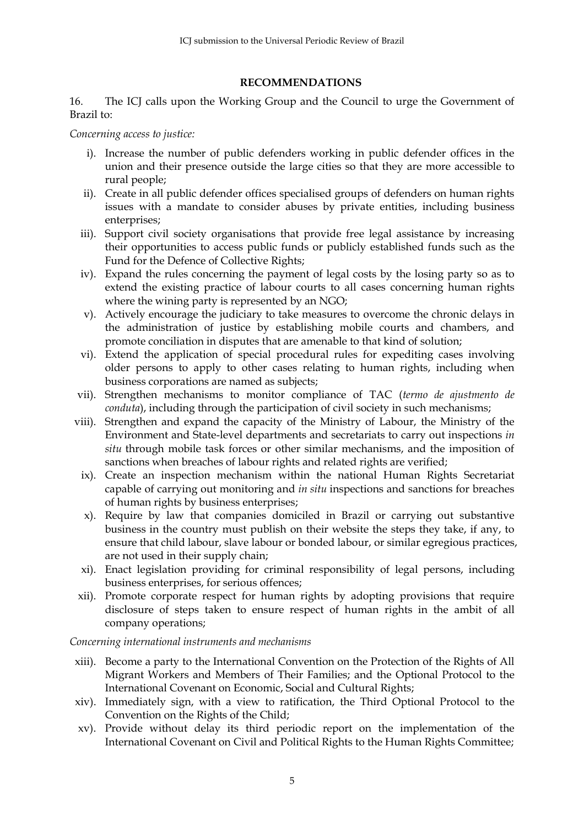### **RECOMMENDATIONS**

16. The ICJ calls upon the Working Group and the Council to urge the Government of Brazil to:

*Concerning access to justice:*

- i). Increase the number of public defenders working in public defender offices in the union and their presence outside the large cities so that they are more accessible to rural people;
- ii). Create in all public defender offices specialised groups of defenders on human rights issues with a mandate to consider abuses by private entities, including business enterprises;
- iii). Support civil society organisations that provide free legal assistance by increasing their opportunities to access public funds or publicly established funds such as the Fund for the Defence of Collective Rights;
- iv). Expand the rules concerning the payment of legal costs by the losing party so as to extend the existing practice of labour courts to all cases concerning human rights where the wining party is represented by an NGO;
- v). Actively encourage the judiciary to take measures to overcome the chronic delays in the administration of justice by establishing mobile courts and chambers, and promote conciliation in disputes that are amenable to that kind of solution;
- vi). Extend the application of special procedural rules for expediting cases involving older persons to apply to other cases relating to human rights, including when business corporations are named as subjects;
- vii). Strengthen mechanisms to monitor compliance of TAC (*termo de ajustmento de conduta*), including through the participation of civil society in such mechanisms;
- viii). Strengthen and expand the capacity of the Ministry of Labour, the Ministry of the Environment and State-level departments and secretariats to carry out inspections *in situ* through mobile task forces or other similar mechanisms, and the imposition of sanctions when breaches of labour rights and related rights are verified;
	- ix). Create an inspection mechanism within the national Human Rights Secretariat capable of carrying out monitoring and *in situ* inspections and sanctions for breaches of human rights by business enterprises;
	- x). Require by law that companies domiciled in Brazil or carrying out substantive business in the country must publish on their website the steps they take, if any, to ensure that child labour, slave labour or bonded labour, or similar egregious practices, are not used in their supply chain;
	- xi). Enact legislation providing for criminal responsibility of legal persons, including business enterprises, for serious offences;
- xii). Promote corporate respect for human rights by adopting provisions that require disclosure of steps taken to ensure respect of human rights in the ambit of all company operations;

*Concerning international instruments and mechanisms*

- xiii). Become a party to the International Convention on the Protection of the Rights of All Migrant Workers and Members of Their Families; and the Optional Protocol to the International Covenant on Economic, Social and Cultural Rights;
- xiv). Immediately sign, with a view to ratification, the Third Optional Protocol to the Convention on the Rights of the Child;
- xv). Provide without delay its third periodic report on the implementation of the International Covenant on Civil and Political Rights to the Human Rights Committee;